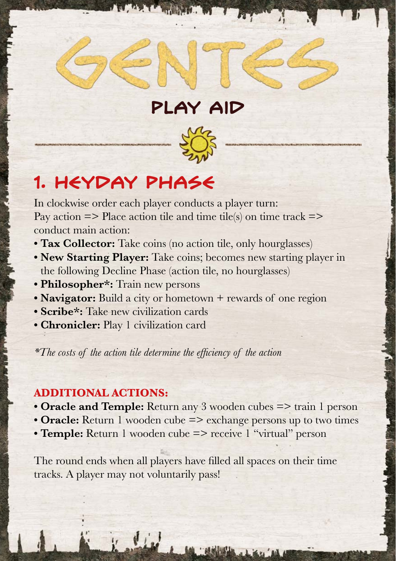## **1. Heyday Phase**

In clockwise order each player conducts a player turn: Pay action  $\Rightarrow$  Place action tile and time tile(s) on time track  $\Rightarrow$ conduct main action:

- **Tax Collector:** Take coins (no action tile, only hourglasses)
- **New Starting Player:** Take coins; becomes new starting player in the following Decline Phase (action tile, no hourglasses)

**Play Aid**

- **Philosopher\*:** Train new persons
- **Navigator:** Build a city or hometown + rewards of one region
- **Scribe\*:** Take new civilization cards
- **Chronicler:** Play 1 civilization card

\*The costs of the action tile determine the efficiency of the action

## **ADDITIONAL ACTIONS:**

- **Oracle and Temple:** Return any 3 wooden cubes => train 1 person
- **Oracle:** Return 1 wooden cube => exchange persons up to two times
- **Temple:** Return 1 wooden cube => receive 1 "virtual" person

The round ends when all players have filled all spaces on their time tracks. A player may not voluntarily pass!